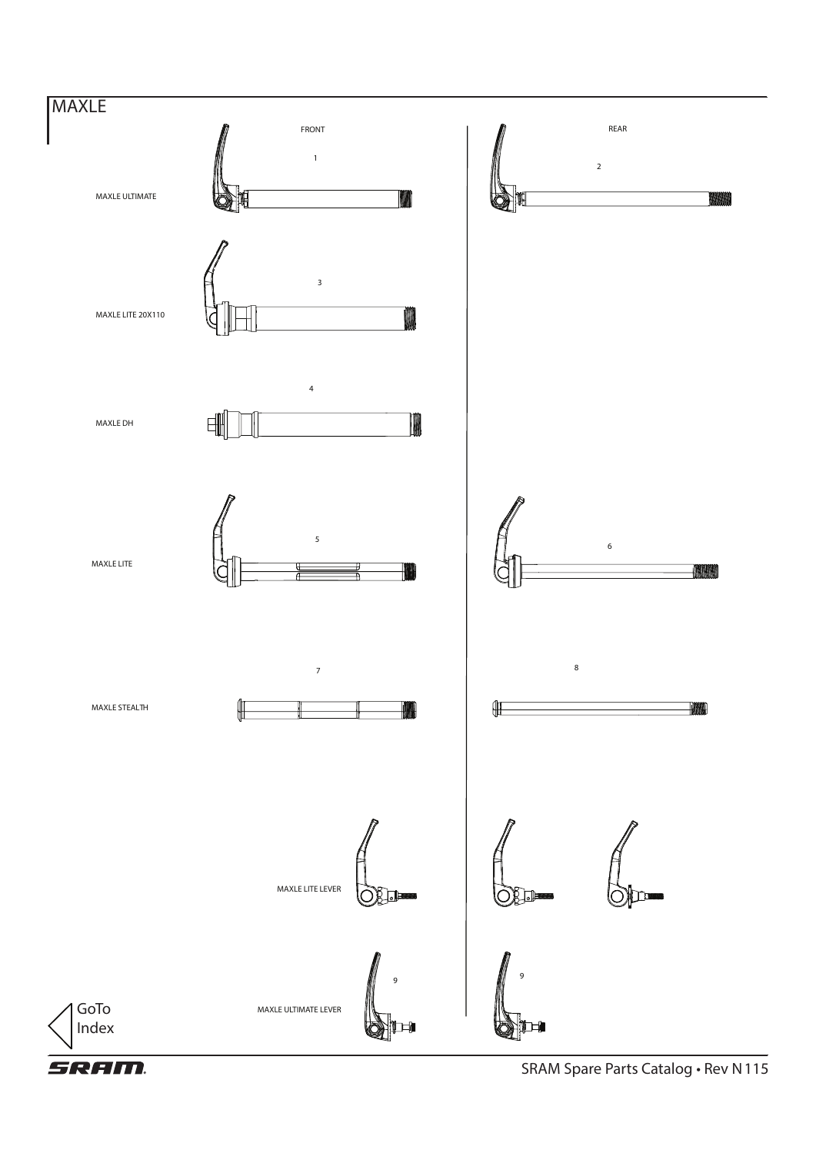